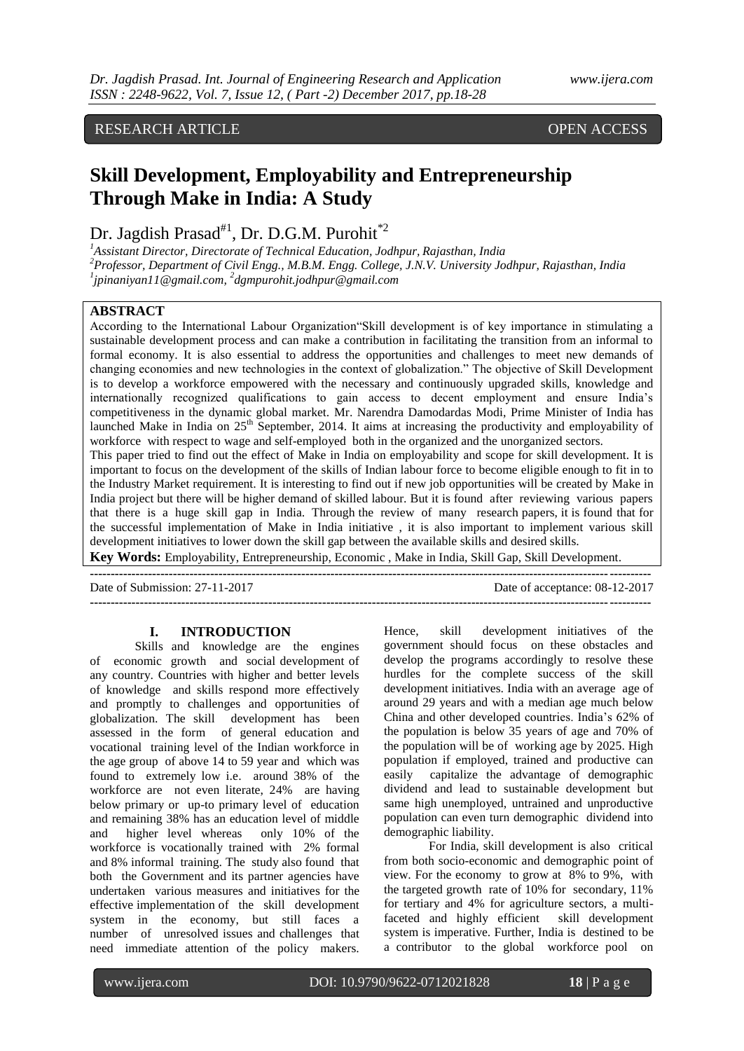### RESEARCH ARTICLE OPEN ACCESS

## **Skill Development, Employability and Entrepreneurship Through Make in India: A Study**

### Dr. Jagdish Prasad<sup>#1</sup>, Dr. D.G.M. Purohit<sup>\*2</sup>

*<sup>1</sup>Assistant Director, Directorate of Technical Education, Jodhpur, Rajasthan, India <sup>2</sup>Professor, Department of Civil Engg., M.B.M. Engg. College, J.N.V. University Jodhpur, Rajasthan, India 1 [jpinaniyan11@gmail.com,](mailto:jpinaniyan11@gmail.com) 2 [dgmpurohit.jodhpur@gmail.com](mailto:2dgmpurohit.jodhpur@gmail.com)*

#### **ABSTRACT**

According to the International Labour Organization"Skill development is of key importance in stimulating a sustainable development process and can make a contribution in facilitating the transition from an informal to formal economy. It is also essential to address the opportunities and challenges to meet new demands of changing economies and new technologies in the context of globalization." The objective of Skill Development is to develop a workforce empowered with the necessary and continuously upgraded skills, knowledge and internationally recognized qualifications to gain access to decent employment and ensure India"s competitiveness in the dynamic global market. Mr. Narendra Damodardas Modi, Prime Minister of India has launched Make in India on 25<sup>th</sup> September, 2014. It aims at increasing the productivity and employability of workforce with respect to wage and self-employed both in the organized and the unorganized sectors.

This paper tried to find out the effect of Make in India on employability and scope for skill development. It is important to focus on the development of the skills of Indian labour force to become eligible enough to fit in to the Industry Market requirement. It is interesting to find out if new job opportunities will be created by Make in India project but there will be higher demand of skilled labour. But it is found after reviewing various papers that there is a huge skill gap in India. Through the review of many research papers, it is found that for the successful implementation of Make in India initiative , it is also important to implement various skill development initiatives to lower down the skill gap between the available skills and desired skills.

**Key Words:** Employability, Entrepreneurship, Economic , Make in India, Skill Gap, Skill Development.

Date of Submission: 27-11-2017 Date of acceptance: 08-12-2017 **---------------------------------------------------------------------------------------------------------------------------------------**

#### **I. INTRODUCTION**

Skills and knowledge are the engines of economic growth and social development of any country. Countries with higher and better levels of knowledge and skills respond more effectively and promptly to challenges and opportunities of globalization. The skill development has been assessed in the form of general education and vocational training level of the Indian workforce in the age group of above 14 to 59 year and which was found to extremely low i.e. around 38% of the workforce are not even literate, 24% are having below primary or up-to primary level of education and remaining 38% has an education level of middle and higher level whereas only 10% of the workforce is vocationally trained with 2% formal and 8% informal training. The study also found that both the Government and its partner agencies have undertaken various measures and initiatives for the effective implementation of the skill development system in the economy, but still faces a number of unresolved issues and challenges that need immediate attention of the policy makers.

Hence, skill development initiatives of the government should focus on these obstacles and develop the programs accordingly to resolve these hurdles for the complete success of the skill development initiatives. India with an average age of around 29 years and with a median age much below China and other developed countries. India"s 62% of the population is below 35 years of age and 70% of the population will be of working age by 2025. High population if employed, trained and productive can easily capitalize the advantage of demographic dividend and lead to sustainable development but same high unemployed, untrained and unproductive population can even turn demographic dividend into demographic liability.

For India, skill development is also critical from both socio-economic and demographic point of view. For the economy to grow at 8% to 9%, with the targeted growth rate of 10% for secondary, 11% for tertiary and 4% for agriculture sectors, a multifaceted and highly efficient skill development system is imperative. Further, India is destined to be a contributor to the global workforce pool on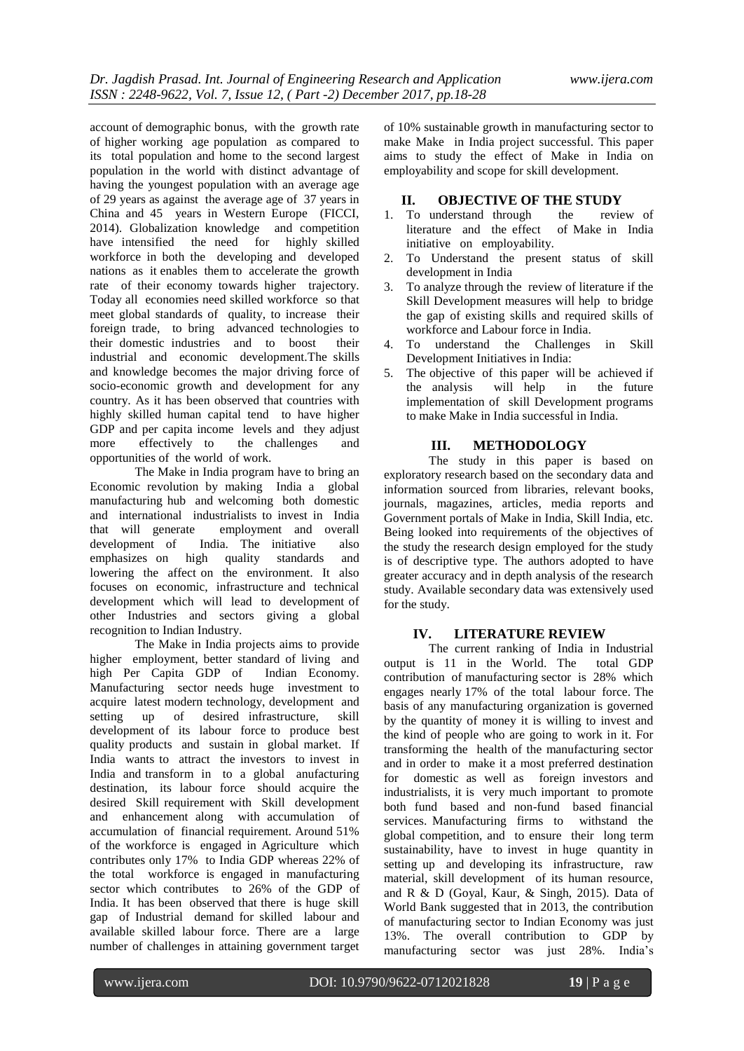account of demographic bonus, with the growth rate of higher working age population as compared to its total population and home to the second largest population in the world with distinct advantage of having the youngest population with an average age of 29 years as against the average age of 37 years in China and 45 years in Western Europe (FICCI, 2014). Globalization knowledge and competition have intensified the need for highly skilled workforce in both the developing and developed nations as it enables them to accelerate the growth rate of their economy towards higher trajectory. Today all economies need skilled workforce so that meet global standards of quality, to increase their foreign trade, to bring advanced technologies to their domestic industries and to boost their industrial and economic development.The skills and knowledge becomes the major driving force of socio-economic growth and development for any country. As it has been observed that countries with highly skilled human capital tend to have higher GDP and per capita income levels and they adjust more effectively to the challenges and opportunities of the world of work.

The Make in India program have to bring an Economic revolution by making India a global manufacturing hub and welcoming both domestic and international industrialists to invest in India that will generate employment and overall development of India. The initiative also emphasizes on high quality standards and lowering the affect on the environment. It also focuses on economic, infrastructure and technical development which will lead to development of other Industries and sectors giving a global recognition to Indian Industry.

The Make in India projects aims to provide higher employment, better standard of living and high Per Capita GDP of Indian Economy. Manufacturing sector needs huge investment to acquire latest modern technology, development and setting up of desired infrastructure, skill development of its labour force to produce best quality products and sustain in global market. If India wants to attract the investors to invest in India and transform in to a global anufacturing destination, its labour force should acquire the desired Skill requirement with Skill development and enhancement along with accumulation of accumulation of financial requirement. Around 51% of the workforce is engaged in Agriculture which contributes only 17% to India GDP whereas 22% of the total workforce is engaged in manufacturing sector which contributes to 26% of the GDP of India. It has been observed that there is huge skill gap of Industrial demand for skilled labour and available skilled labour force. There are a large number of challenges in attaining government target

of 10% sustainable growth in manufacturing sector to make Make in India project successful. This paper aims to study the effect of Make in India on employability and scope for skill development.

# **II. OBJECTIVE OF THE STUDY**<br>To understand through the review of

- 1. To understand through the review of literature and the effect of Make in India literature and the effect initiative on employability.
- 2. To Understand the present status of skill development in India
- 3. To analyze through the review of literature if the Skill Development measures will help to bridge the gap of existing skills and required skills of workforce and Labour force in India.
- 4. To understand the Challenges in Skill Development Initiatives in India:
- 5. The objective of this paper will be achieved if the analysis will help in the future implementation of skill Development programs to make Make in India successful in India.

#### **III. METHODOLOGY**

The study in this paper is based on exploratory research based on the secondary data and information sourced from libraries, relevant books, journals, magazines, articles, media reports and Government portals of Make in India, Skill India, etc. Being looked into requirements of the objectives of the study the research design employed for the study is of descriptive type. The authors adopted to have greater accuracy and in depth analysis of the research study. Available secondary data was extensively used for the study.

#### **IV. LITERATURE REVIEW**

The current ranking of India in Industrial<br>is 11 in the World. The total GDP output is  $11$  in the World. The contribution of manufacturing sector is 28% which engages nearly 17% of the total labour force. The basis of any manufacturing organization is governed by the quantity of money it is willing to invest and the kind of people who are going to work in it. For transforming the health of the manufacturing sector and in order to make it a most preferred destination for domestic as well as foreign investors and industrialists, it is very much important to promote both fund based and non-fund based financial services. Manufacturing firms to withstand the global competition, and to ensure their long term sustainability, have to invest in huge quantity in setting up and developing its infrastructure, raw material, skill development of its human resource, and R & D (Goyal, Kaur, & Singh, 2015). Data of World Bank suggested that in 2013, the contribution of manufacturing sector to Indian Economy was just 13%. The overall contribution to GDP by manufacturing sector was just 28%. India"s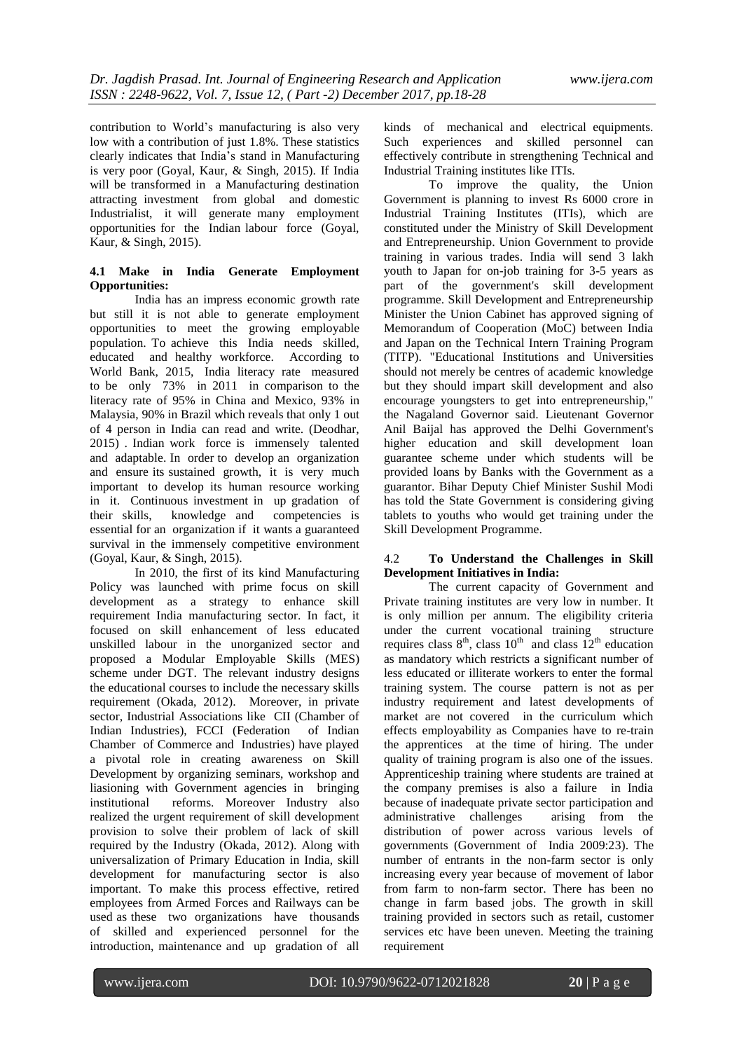contribution to World"s manufacturing is also very low with a contribution of just 1.8%. These statistics clearly indicates that India"s stand in Manufacturing is very poor (Goyal, Kaur, & Singh, 2015). If India will be transformed in a Manufacturing destination attracting investment from global and domestic Industrialist, it will generate many employment opportunities for the Indian labour force (Goyal, Kaur, & Singh, 2015).

#### **4.1 Make in India Generate Employment Opportunities:**

India has an impress economic growth rate but still it is not able to generate employment opportunities to meet the growing employable population. To achieve this India needs skilled, educated and healthy workforce. According to World Bank, 2015, India literacy rate measured to be only 73% in 2011 in comparison to the literacy rate of 95% in China and Mexico, 93% in Malaysia, 90% in Brazil which reveals that only 1 out of 4 person in India can read and write. (Deodhar, 2015) . Indian work force is immensely talented and adaptable. In order to develop an organization and ensure its sustained growth, it is very much important to develop its human resource working in it. Continuous investment in up gradation of their skills, knowledge and competencies is essential for an organization if it wants a guaranteed survival in the immensely competitive environment (Goyal, Kaur, & Singh, 2015).

In 2010, the first of its kind Manufacturing Policy was launched with prime focus on skill development as a strategy to enhance skill requirement India manufacturing sector. In fact, it focused on skill enhancement of less educated unskilled labour in the unorganized sector and proposed a Modular Employable Skills (MES) scheme under DGT. The relevant industry designs the educational courses to include the necessary skills requirement (Okada, 2012). Moreover, in private sector, Industrial Associations like CII (Chamber of Indian Industries), FCCI (Federation of Indian Chamber of Commerce and Industries) have played a pivotal role in creating awareness on Skill Development by organizing seminars, workshop and liasioning with Government agencies in bringing institutional reforms. Moreover Industry also realized the urgent requirement of skill development provision to solve their problem of lack of skill required by the Industry (Okada, 2012). Along with universalization of Primary Education in India, skill development for manufacturing sector is also important. To make this process effective, retired employees from Armed Forces and Railways can be used as these two organizations have thousands of skilled and experienced personnel for the introduction, maintenance and up gradation of all

kinds of mechanical and electrical equipments. Such experiences and skilled personnel can effectively contribute in strengthening Technical and Industrial Training institutes like ITIs.

To improve the quality, the Union Government is planning to invest Rs 6000 crore in Industrial Training Institutes (ITIs), which are constituted under the Ministry of Skill Development and Entrepreneurship. Union Government to provide training in various trades. India will send 3 lakh youth to Japan for on-job training for 3-5 years as part of the government's skill development programme. Skill Development and Entrepreneurship Minister the Union Cabinet has approved signing of Memorandum of Cooperation (MoC) between India and Japan on the Technical Intern Training Program (TITP). "Educational Institutions and Universities should not merely be centres of academic knowledge but they should impart skill development and also encourage youngsters to get into entrepreneurship," the Nagaland Governor said. Lieutenant Governor Anil Baijal has approved the Delhi Government's higher education and skill development loan guarantee scheme under which students will be provided loans by Banks with the Government as a guarantor. Bihar Deputy Chief Minister Sushil Modi has told the State Government is considering giving tablets to youths who would get training under the Skill Development Programme.

#### 4.2 **To Understand the Challenges in Skill Development Initiatives in India:**

The current capacity of Government and Private training institutes are very low in number. It is only million per annum. The eligibility criteria under the current vocational training structure requires class  $8<sup>th</sup>$ , class  $10<sup>th</sup>$  and class  $12<sup>th</sup>$  education as mandatory which restricts a significant number of less educated or illiterate workers to enter the formal training system. The course pattern is not as per industry requirement and latest developments of market are not covered in the curriculum which effects employability as Companies have to re-train the apprentices at the time of hiring. The under quality of training program is also one of the issues. Apprenticeship training where students are trained at the company premises is also a failure in India because of inadequate private sector participation and administrative challenges arising from the distribution of power across various levels of governments (Government of India 2009:23). The number of entrants in the non-farm sector is only increasing every year because of movement of labor from farm to non-farm sector. There has been no change in farm based jobs. The growth in skill training provided in sectors such as retail, customer services etc have been uneven. Meeting the training requirement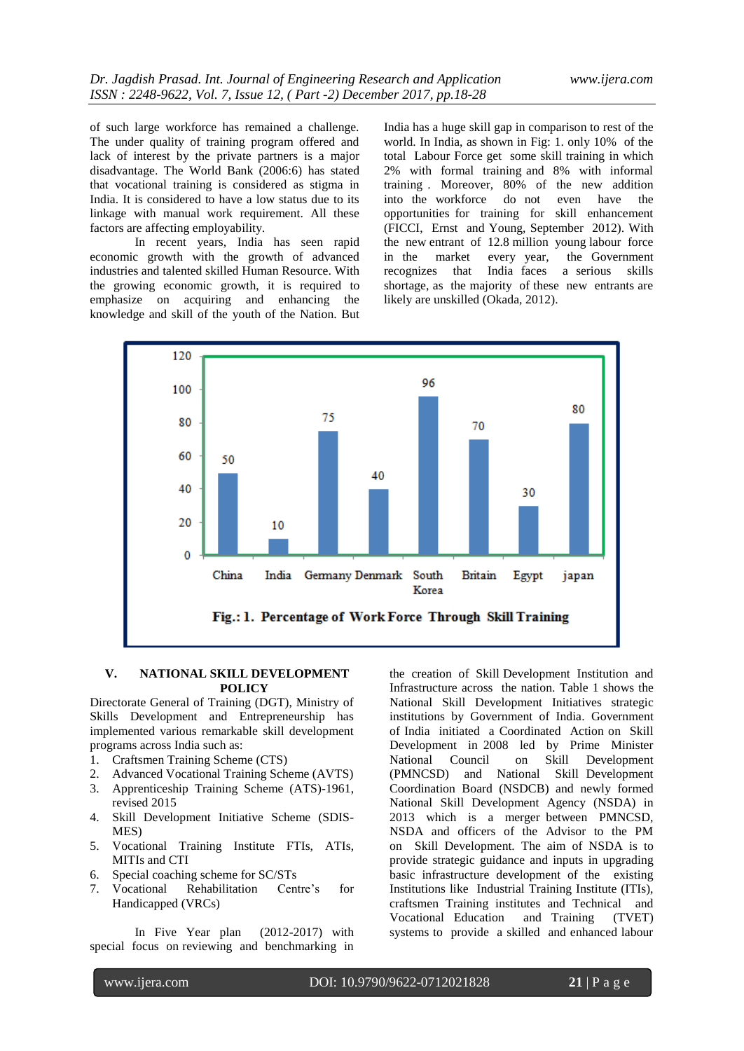of such large workforce has remained a challenge. The under quality of training program offered and lack of interest by the private partners is a major disadvantage. The World Bank (2006:6) has stated that vocational training is considered as stigma in India. It is considered to have a low status due to its linkage with manual work requirement. All these factors are affecting employability.

In recent years, India has seen rapid economic growth with the growth of advanced industries and talented skilled Human Resource. With the growing economic growth, it is required to emphasize on acquiring and enhancing the knowledge and skill of the youth of the Nation. But

India has a huge skill gap in comparison to rest of the world. In India, as shown in Fig: 1. only 10% of the total Labour Force get some skill training in which 2% with formal training and 8% with informal training . Moreover, 80% of the new addition into the workforce do not even have the opportunities for training for skill enhancement (FICCI, Ernst and Young, September 2012). With the new entrant of 12.8 million young labour force in the market every year, the Government recognizes that India faces a serious skills shortage, as the majority of these new entrants are likely are unskilled (Okada, 2012).



#### **V. NATIONAL SKILL DEVELOPMENT POLICY**

Directorate General of Training (DGT), Ministry of Skills Development and Entrepreneurship has implemented various remarkable skill development programs across India such as:

- 1. Craftsmen Training Scheme (CTS)
- 2. Advanced Vocational Training Scheme (AVTS)
- 3. Apprenticeship Training Scheme (ATS)-1961, revised 2015
- 4. Skill Development Initiative Scheme (SDIS-MES)
- 5. Vocational Training Institute FTIs, ATIs, MITIs and CTI
- 6. Special coaching scheme for SC/STs
- 7. Vocational Rehabilitation Centre"s for Handicapped (VRCs)

In Five Year plan (2012-2017) with special focus on reviewing and benchmarking in

the creation of Skill Development Institution and Infrastructure across the nation. Table 1 shows the National Skill Development Initiatives strategic institutions by Government of India. Government of India initiated a Coordinated Action on Skill Development in 2008 led by Prime Minister National Council on Skill Development (PMNCSD) and National Skill Development Coordination Board (NSDCB) and newly formed National Skill Development Agency (NSDA) in 2013 which is a merger between PMNCSD, NSDA and officers of the Advisor to the PM on Skill Development. The aim of NSDA is to provide strategic guidance and inputs in upgrading basic infrastructure development of the existing Institutions like Industrial Training Institute (ITIs), craftsmen Training institutes and Technical and Vocational Education and Training (TVET) systems to provide a skilled and enhanced labour

www.ijera.com DOI: 10.9790/9622-0712021828 **21** | P a g e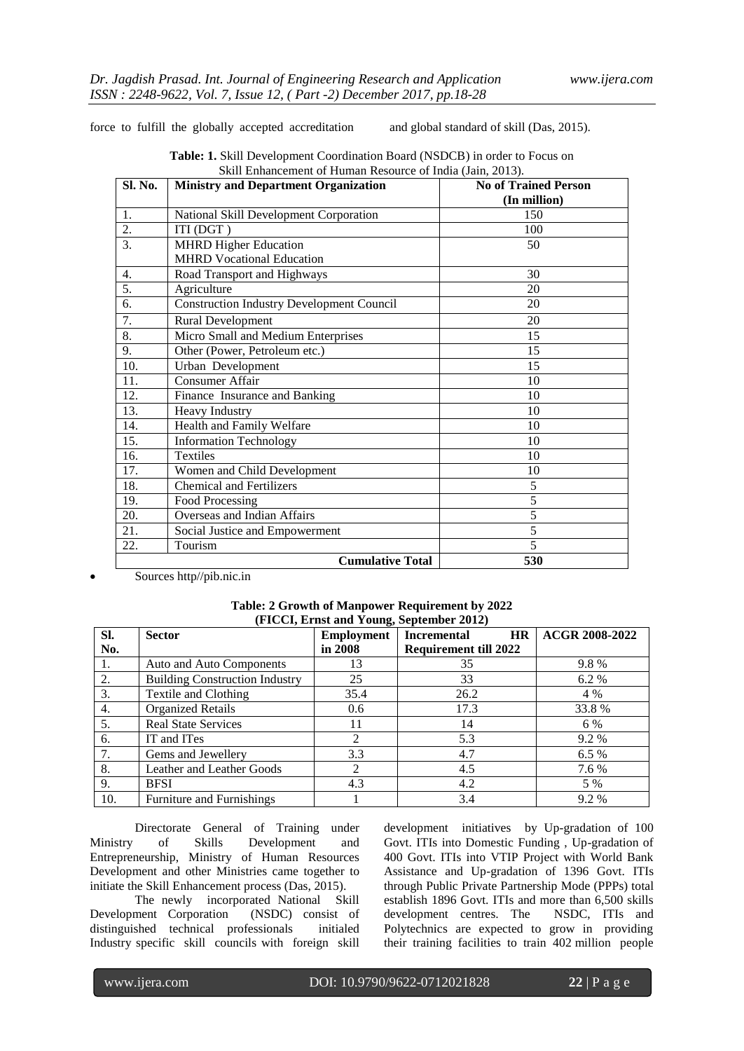force to fulfill the globally accepted accreditation and global standard of skill (Das, 2015).

| Sl. No. | <b>Ministry and Department Organization</b>      | <b>No of Trained Person</b> |
|---------|--------------------------------------------------|-----------------------------|
| 1.      | National Skill Development Corporation           | (In million)<br>150         |
| 2.      | ITI (DGT)                                        | 100                         |
| 3.      | <b>MHRD Higher Education</b>                     | 50                          |
|         | <b>MHRD</b> Vocational Education                 |                             |
| 4.      | Road Transport and Highways                      | 30                          |
| 5.      | Agriculture                                      | 20                          |
| 6.      | <b>Construction Industry Development Council</b> | 20                          |
| 7.      | Rural Development                                | 20                          |
| 8.      | Micro Small and Medium Enterprises               | 15                          |
| 9.      | Other (Power, Petroleum etc.)                    | 15                          |
| 10.     | Urban Development                                | 15                          |
| 11.     | Consumer Affair                                  | 10                          |
| 12.     | Finance Insurance and Banking                    | 10                          |
| 13.     | <b>Heavy Industry</b>                            | 10                          |
| 14.     | Health and Family Welfare                        | 10                          |
| 15.     | <b>Information Technology</b>                    | 10                          |
| 16.     | <b>Textiles</b>                                  | 10                          |
| 17.     | Women and Child Development                      | 10                          |
| 18.     | <b>Chemical and Fertilizers</b>                  | 5                           |
| 19.     | Food Processing                                  | 5                           |
| 20.     | Overseas and Indian Affairs                      | 5                           |
| 21.     | Social Justice and Empowerment                   | 5                           |
| 22.     | Tourism                                          | 5                           |
|         | <b>Cumulative Total</b>                          | 530                         |

| <b>Table: 1.</b> Skill Development Coordination Board (NSDCB) in order to Focus on |  |
|------------------------------------------------------------------------------------|--|
| Skill Enhancement of Human Resource of India (Jain, 2013).                         |  |

Sources http//pib.nic.in

| Table: 2 Growth of Manpower Requirement by 2022 |  |
|-------------------------------------------------|--|
| (FICCI, Ernst and Young, September 2012)        |  |

| SI. | <b>Sector</b>                         | <b>Employment</b>           | <b>Incremental</b><br><b>HR</b> | <b>ACGR 2008-2022</b> |
|-----|---------------------------------------|-----------------------------|---------------------------------|-----------------------|
| No. |                                       | in 2008                     | <b>Requirement till 2022</b>    |                       |
| 1.  | Auto and Auto Components              | 13                          | 35                              | 9.8%                  |
| 2.  | <b>Building Construction Industry</b> | 25                          | 33                              | 6.2 %                 |
| 3.  | Textile and Clothing                  | 35.4                        | 26.2                            | 4 %                   |
| 4.  | <b>Organized Retails</b>              | 0.6                         | 17.3                            | 33.8%                 |
| 5.  | <b>Real State Services</b>            | 11                          | 14                              | 6 %                   |
| 6.  | IT and ITes                           | $\mathcal{D}_{\mathcal{L}}$ | 5.3                             | 9.2 %                 |
| 7.  | Gems and Jewellery                    | 3.3                         | 4.7                             | 6.5%                  |
| 8.  | Leather and Leather Goods             | $\mathcal{L}$               | 4.5                             | 7.6 %                 |
| 9.  | <b>BFSI</b>                           | 4.3                         | 4.2                             | 5 %                   |
| 10. | Furniture and Furnishings             |                             | 3.4                             | $9.2\%$               |

Directorate General of Training under<br>of Skills Development and Ministry of Skills Development and Entrepreneurship, Ministry of Human Resources Development and other Ministries came together to initiate the Skill Enhancement process (Das, 2015).

The newly incorporated National Skill Development Corporation (NSDC) consist of distinguished technical professionals initialed Industry specific skill councils with foreign skill

development initiatives by Up-gradation of 100 Govt. ITIs into Domestic Funding , Up-gradation of 400 Govt. ITIs into VTIP Project with World Bank Assistance and Up-gradation of 1396 Govt. ITIs through Public Private Partnership Mode (PPPs) total establish 1896 Govt. ITIs and more than 6,500 skills development centres. The NSDC, ITIs and Polytechnics are expected to grow in providing their training facilities to train 402 million people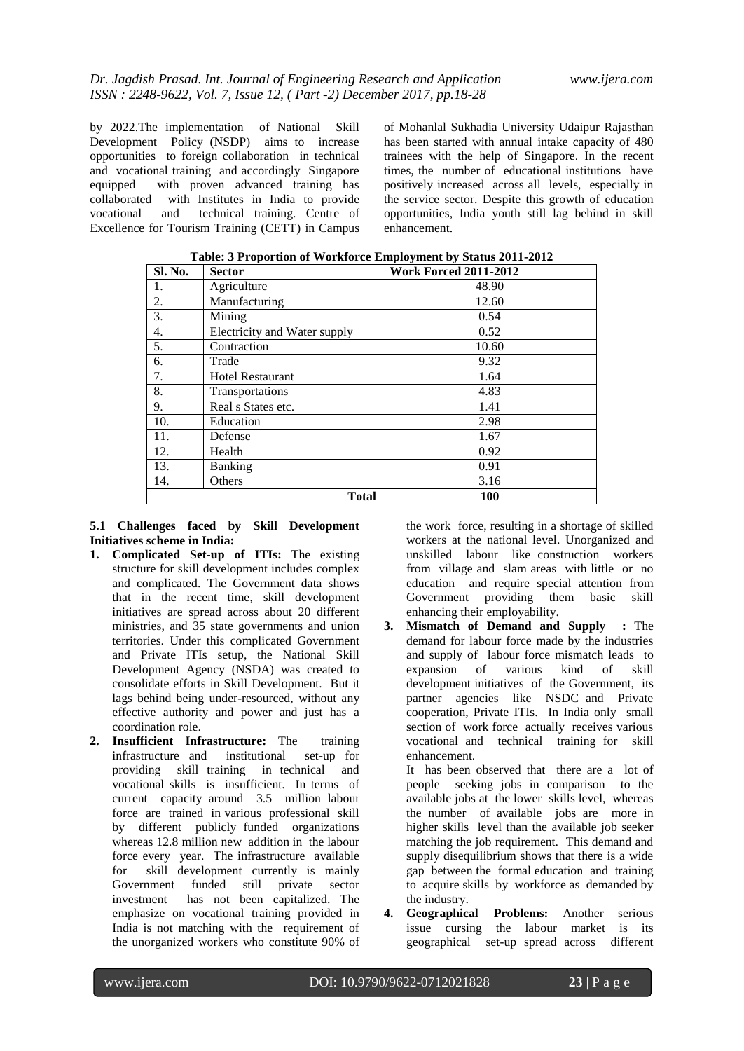by 2022.The implementation of National Skill Development Policy (NSDP) aims to increase opportunities to foreign collaboration in technical and vocational training and accordingly Singapore equipped with proven advanced training has collaborated with Institutes in India to provide vocational and technical training. Centre of Excellence for Tourism Training (CETT) in Campus

of Mohanlal Sukhadia University Udaipur Rajasthan has been started with annual intake capacity of 480 trainees with the help of Singapore. In the recent times, the number of educational institutions have positively increased across all levels, especially in the service sector. Despite this growth of education opportunities, India youth still lag behind in skill enhancement.

| Sl. No. | <b>Sector</b>                | <b>Work Forced 2011-2012</b> |
|---------|------------------------------|------------------------------|
| 1.      | Agriculture                  | 48.90                        |
| 2.      | Manufacturing                | 12.60                        |
| 3.      | Mining                       | 0.54                         |
| 4.      | Electricity and Water supply | 0.52                         |
| 5.      | Contraction                  | 10.60                        |
| 6.      | Trade                        | 9.32                         |
| 7.      | <b>Hotel Restaurant</b>      | 1.64                         |
| 8.      | Transportations              | 4.83                         |
| 9.      | Real s States etc.           | 1.41                         |
| 10.     | Education                    | 2.98                         |
| 11.     | Defense                      | 1.67                         |
| 12.     | Health                       | 0.92                         |
| 13.     | <b>Banking</b>               | 0.91                         |
| 14.     | Others                       | 3.16                         |
|         | <b>Total</b>                 | <b>100</b>                   |

**Table: 3 Proportion of Workforce Employment by Status 2011-2012**

#### **5.1 Challenges faced by Skill Development Initiatives scheme in India:**

- **1. Complicated Set-up of ITIs:** The existing structure for skill development includes complex and complicated. The Government data shows that in the recent time, skill development initiatives are spread across about 20 different ministries, and 35 state governments and union territories. Under this complicated Government and Private ITIs setup, the National Skill Development Agency (NSDA) was created to consolidate efforts in Skill Development. But it lags behind being under-resourced, without any effective authority and power and just has a coordination role.
- **2. Insufficient Infrastructure:** The training infrastructure and institutional set-up for providing skill training in technical and vocational skills is insufficient. In terms of current capacity around 3.5 million labour force are trained in various professional skill by different publicly funded organizations whereas 12.8 million new addition in the labour force every year. The infrastructure available for skill development currently is mainly Government funded still private sector investment has not been capitalized. The emphasize on vocational training provided in India is not matching with the requirement of the unorganized workers who constitute 90% of

the work force, resulting in a shortage of skilled workers at the national level. Unorganized and unskilled labour like construction workers from village and slam areas with little or no education and require special attention from Government providing them basic skill enhancing their employability.

**3. Mismatch of Demand and Supply :** The demand for labour force made by the industries and supply of labour force mismatch leads to expansion of various kind of skill development initiatives of the Government, its partner agencies like NSDC and Private cooperation, Private ITIs. In India only small section of work force actually receives various vocational and technical training for skill enhancement.

It has been observed that there are a lot of people seeking jobs in comparison to the available jobs at the lower skills level, whereas the number of available jobs are more in higher skills level than the available job seeker matching the job requirement. This demand and supply disequilibrium shows that there is a wide gap between the formal education and training to acquire skills by workforce as demanded by the industry.

**4. Geographical Problems:** Another serious issue cursing the labour market is its geographical set-up spread across different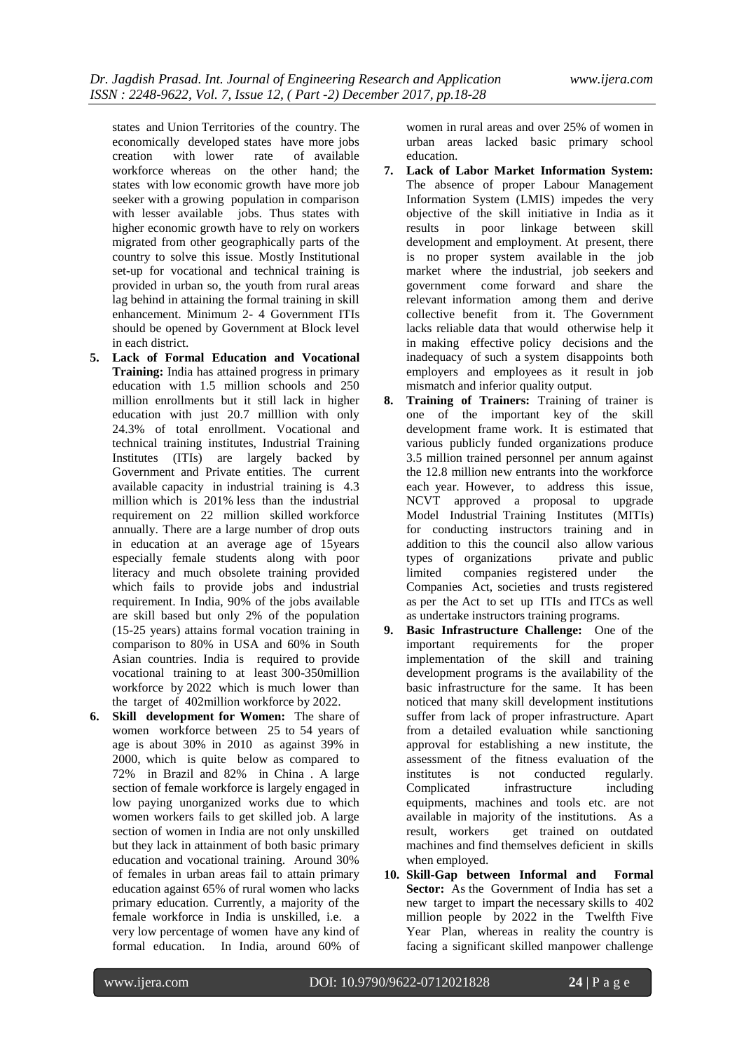states and Union Territories of the country. The economically developed states have more jobs creation with lower rate of available workforce whereas on the other hand; the states with low economic growth have more job seeker with a growing population in comparison with lesser available jobs. Thus states with higher economic growth have to rely on workers migrated from other geographically parts of the country to solve this issue. Mostly Institutional set-up for vocational and technical training is provided in urban so, the youth from rural areas lag behind in attaining the formal training in skill enhancement. Minimum 2- 4 Government ITIs should be opened by Government at Block level in each district.

- **5. Lack of Formal Education and Vocational Training:** India has attained progress in primary education with 1.5 million schools and 250 million enrollments but it still lack in higher education with just 20.7 milllion with only 24.3% of total enrollment. Vocational and technical training institutes, Industrial Training Institutes (ITIs) are largely backed by Government and Private entities. The current available capacity in industrial training is 4.3 million which is 201% less than the industrial requirement on 22 million skilled workforce annually. There are a large number of drop outs in education at an average age of 15years especially female students along with poor literacy and much obsolete training provided which fails to provide jobs and industrial requirement. In India, 90% of the jobs available are skill based but only 2% of the population (15-25 years) attains formal vocation training in comparison to 80% in USA and 60% in South Asian countries. India is required to provide vocational training to at least 300-350million workforce by 2022 which is much lower than the target of 402million workforce by 2022.
- **6. Skill development for Women:** The share of women workforce between 25 to 54 years of age is about 30% in 2010 as against 39% in 2000, which is quite below as compared to 72% in Brazil and 82% in China . A large section of female workforce is largely engaged in low paying unorganized works due to which women workers fails to get skilled job. A large section of women in India are not only unskilled but they lack in attainment of both basic primary education and vocational training. Around 30% of females in urban areas fail to attain primary education against 65% of rural women who lacks primary education. Currently, a majority of the female workforce in India is unskilled, i.e. a very low percentage of women have any kind of formal education. In India, around 60% of

women in rural areas and over 25% of women in urban areas lacked basic primary school education.

- **7. Lack of Labor Market Information System:** The absence of proper Labour Management Information System (LMIS) impedes the very objective of the skill initiative in India as it results in poor linkage between skill development and employment. At present, there is no proper system available in the job market where the industrial, job seekers and government come forward and share the relevant information among them and derive collective benefit from it. The Government lacks reliable data that would otherwise help it in making effective policy decisions and the inadequacy of such a system disappoints both employers and employees as it result in job mismatch and inferior quality output.
- **8. Training of Trainers:** Training of trainer is one of the important key of the skill development frame work. It is estimated that various publicly funded organizations produce 3.5 million trained personnel per annum against the 12.8 million new entrants into the workforce each year. However, to address this issue, NCVT approved a proposal to upgrade Model Industrial Training Institutes (MITIs) for conducting instructors training and in addition to this the council also allow various types of organizations private and public limited companies registered under the Companies Act, societies and trusts registered as per the Act to set up ITIs and ITCs as well as undertake instructors training programs.
- **9. Basic Infrastructure Challenge:** One of the important requirements for the proper implementation of the skill and training development programs is the availability of the basic infrastructure for the same. It has been noticed that many skill development institutions suffer from lack of proper infrastructure. Apart from a detailed evaluation while sanctioning approval for establishing a new institute, the assessment of the fitness evaluation of the institutes is not conducted regularly. Complicated infrastructure including equipments, machines and tools etc. are not available in majority of the institutions. As a result, workers get trained on outdated machines and find themselves deficient in skills when employed.
- **10. Skill-Gap between Informal and Formal Sector:** As the Government of India has set a new target to impart the necessary skills to 402 million people by 2022 in the Twelfth Five Year Plan, whereas in reality the country is facing a significant skilled manpower challenge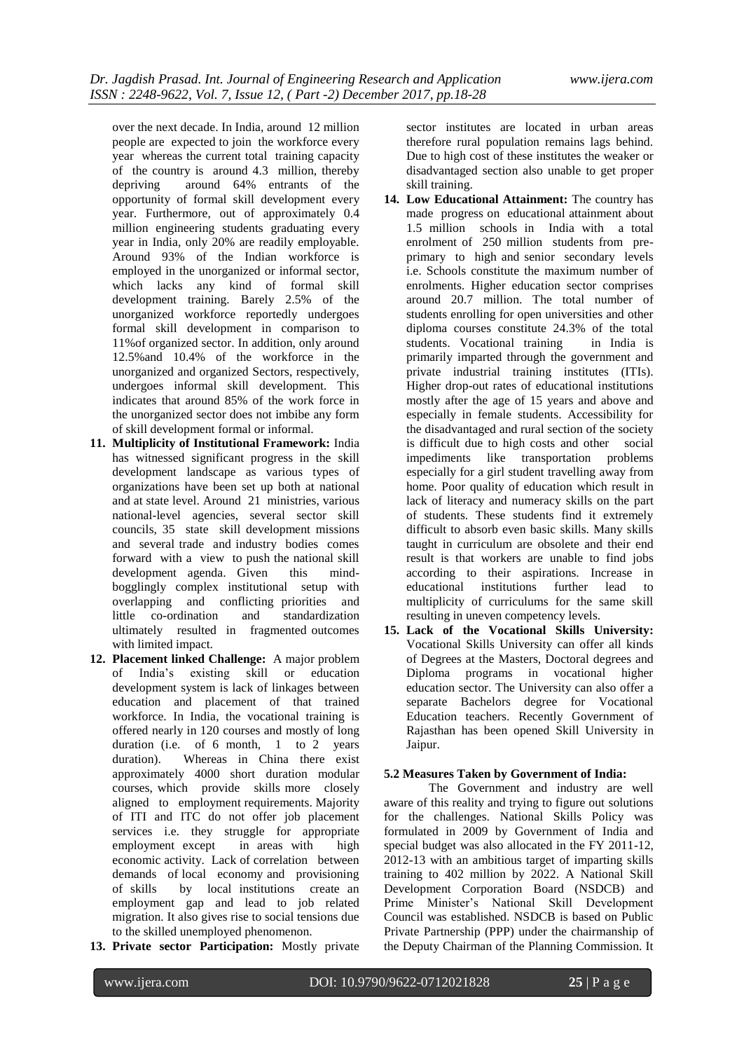over the next decade. In India, around 12 million people are expected to join the workforce every year whereas the current total training capacity of the country is around 4.3 million, thereby depriving around 64% entrants of the opportunity of formal skill development every year. Furthermore, out of approximately 0.4 million engineering students graduating every year in India, only 20% are readily employable. Around 93% of the Indian workforce is employed in the unorganized or informal sector, which lacks any kind of formal skill development training. Barely 2.5% of the unorganized workforce reportedly undergoes formal skill development in comparison to 11%of organized sector. In addition, only around 12.5%and 10.4% of the workforce in the unorganized and organized Sectors, respectively, undergoes informal skill development. This indicates that around 85% of the work force in the unorganized sector does not imbibe any form of skill development formal or informal.

- **11. Multiplicity of Institutional Framework:** India has witnessed significant progress in the skill development landscape as various types of organizations have been set up both at national and at state level. Around 21 ministries, various national-level agencies, several sector skill councils, 35 state skill development missions and several trade and industry bodies comes forward with a view to push the national skill development agenda. Given this mindbogglingly complex institutional setup with overlapping and conflicting priorities and little co-ordination and standardization ultimately resulted in fragmented outcomes with limited impact.
- **12. Placement linked Challenge:** A major problem of India"s existing skill or education development system is lack of linkages between education and placement of that trained workforce. In India, the vocational training is offered nearly in 120 courses and mostly of long duration (i.e. of 6 month, 1 to 2 years duration). Whereas in China there exist approximately 4000 short duration modular courses, which provide skills more closely aligned to employment requirements. Majority of ITI and ITC do not offer job placement services i.e. they struggle for appropriate employment except in areas with high economic activity. Lack of correlation between demands of local economy and provisioning of skills by local institutions create an employment gap and lead to job related migration. It also gives rise to social tensions due to the skilled unemployed phenomenon.
- **13. Private sector Participation:** Mostly private

sector institutes are located in urban areas therefore rural population remains lags behind. Due to high cost of these institutes the weaker or disadvantaged section also unable to get proper skill training.

- **14. Low Educational Attainment:** The country has made progress on educational attainment about 1.5 million schools in India with a total enrolment of 250 million students from preprimary to high and senior secondary levels i.e. Schools constitute the maximum number of enrolments. Higher education sector comprises around 20.7 million. The total number of students enrolling for open universities and other diploma courses constitute 24.3% of the total students. Vocational training in India is primarily imparted through the government and private industrial training institutes (ITIs). Higher drop-out rates of educational institutions mostly after the age of 15 years and above and especially in female students. Accessibility for the disadvantaged and rural section of the society is difficult due to high costs and other social impediments like transportation problems especially for a girl student travelling away from home. Poor quality of education which result in lack of literacy and numeracy skills on the part of students. These students find it extremely difficult to absorb even basic skills. Many skills taught in curriculum are obsolete and their end result is that workers are unable to find jobs according to their aspirations. Increase in educational institutions further lead to multiplicity of curriculums for the same skill resulting in uneven competency levels.
- **15. Lack of the Vocational Skills University:** Vocational Skills University can offer all kinds of Degrees at the Masters, Doctoral degrees and Diploma programs in vocational higher education sector. The University can also offer a separate Bachelors degree for Vocational Education teachers. Recently Government of Rajasthan has been opened Skill University in Jaipur.

#### **5.2 Measures Taken by Government of India:**

The Government and industry are well aware of this reality and trying to figure out solutions for the challenges. National Skills Policy was formulated in 2009 by Government of India and special budget was also allocated in the FY 2011-12, 2012-13 with an ambitious target of imparting skills training to 402 million by 2022. A National Skill Development Corporation Board (NSDCB) and Prime Minister"s National Skill Development Council was established. NSDCB is based on Public Private Partnership (PPP) under the chairmanship of the Deputy Chairman of the Planning Commission. It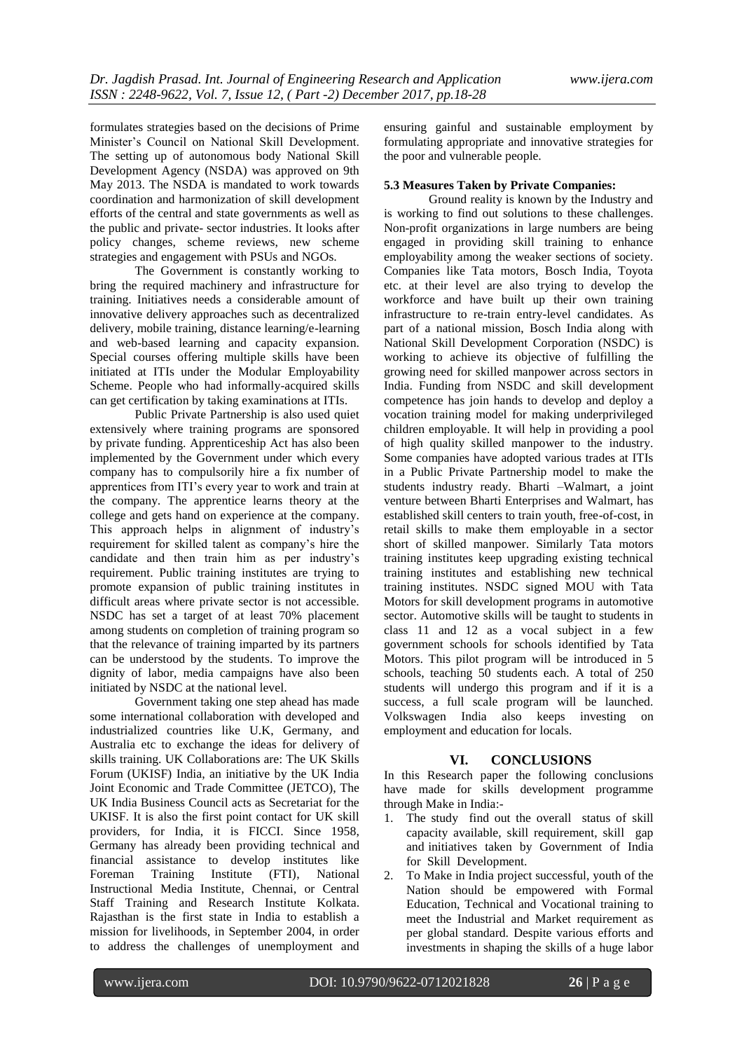formulates strategies based on the decisions of Prime Minister"s Council on National Skill Development. The setting up of autonomous body National Skill Development Agency (NSDA) was approved on 9th May 2013. The NSDA is mandated to work towards coordination and harmonization of skill development efforts of the central and state governments as well as the public and private- sector industries. It looks after policy changes, scheme reviews, new scheme strategies and engagement with PSUs and NGOs.

The Government is constantly working to bring the required machinery and infrastructure for training. Initiatives needs a considerable amount of innovative delivery approaches such as decentralized delivery, mobile training, distance learning/e-learning and web-based learning and capacity expansion. Special courses offering multiple skills have been initiated at ITIs under the Modular Employability Scheme. People who had informally-acquired skills can get certification by taking examinations at ITIs.

Public Private Partnership is also used quiet extensively where training programs are sponsored by private funding. Apprenticeship Act has also been implemented by the Government under which every company has to compulsorily hire a fix number of apprentices from ITI"s every year to work and train at the company. The apprentice learns theory at the college and gets hand on experience at the company. This approach helps in alignment of industry"s requirement for skilled talent as company"s hire the candidate and then train him as per industry"s requirement. Public training institutes are trying to promote expansion of public training institutes in difficult areas where private sector is not accessible. NSDC has set a target of at least 70% placement among students on completion of training program so that the relevance of training imparted by its partners can be understood by the students. To improve the dignity of labor, media campaigns have also been initiated by NSDC at the national level.

Government taking one step ahead has made some international collaboration with developed and industrialized countries like U.K, Germany, and Australia etc to exchange the ideas for delivery of skills training. UK Collaborations are: The UK Skills Forum (UKISF) India, an initiative by the UK India Joint Economic and Trade Committee (JETCO), The UK India Business Council acts as Secretariat for the UKISF. It is also the first point contact for UK skill providers, for India, it is FICCI. Since 1958, Germany has already been providing technical and financial assistance to develop institutes like Foreman Training Institute (FTI), National Instructional Media Institute, Chennai, or Central Staff Training and Research Institute Kolkata. Rajasthan is the first state in India to establish a mission for livelihoods, in September 2004, in order to address the challenges of unemployment and

ensuring gainful and sustainable employment by formulating appropriate and innovative strategies for the poor and vulnerable people.

#### **5.3 Measures Taken by Private Companies:**

Ground reality is known by the Industry and is working to find out solutions to these challenges. Non-profit organizations in large numbers are being engaged in providing skill training to enhance employability among the weaker sections of society. Companies like Tata motors, Bosch India, Toyota etc. at their level are also trying to develop the workforce and have built up their own training infrastructure to re-train entry-level candidates. As part of a national mission, Bosch India along with National Skill Development Corporation (NSDC) is working to achieve its objective of fulfilling the growing need for skilled manpower across sectors in India. Funding from NSDC and skill development competence has join hands to develop and deploy a vocation training model for making underprivileged children employable. It will help in providing a pool of high quality skilled manpower to the industry. Some companies have adopted various trades at ITIs in a Public Private Partnership model to make the students industry ready. Bharti –Walmart, a joint venture between Bharti Enterprises and Walmart, has established skill centers to train youth, free-of-cost, in retail skills to make them employable in a sector short of skilled manpower. Similarly Tata motors training institutes keep upgrading existing technical training institutes and establishing new technical training institutes. NSDC signed MOU with Tata Motors for skill development programs in automotive sector. Automotive skills will be taught to students in class 11 and 12 as a vocal subject in a few government schools for schools identified by Tata Motors. This pilot program will be introduced in 5 schools, teaching 50 students each. A total of 250 students will undergo this program and if it is a success, a full scale program will be launched. Volkswagen India also keeps investing on employment and education for locals.

#### **VI. CONCLUSIONS**

In this Research paper the following conclusions have made for skills development programme through Make in India:-

- 1. The study find out the overall status of skill capacity available, skill requirement, skill gap and initiatives taken by Government of India for Skill Development.
- 2. To Make in India project successful, youth of the Nation should be empowered with Formal Education, Technical and Vocational training to meet the Industrial and Market requirement as per global standard. Despite various efforts and investments in shaping the skills of a huge labor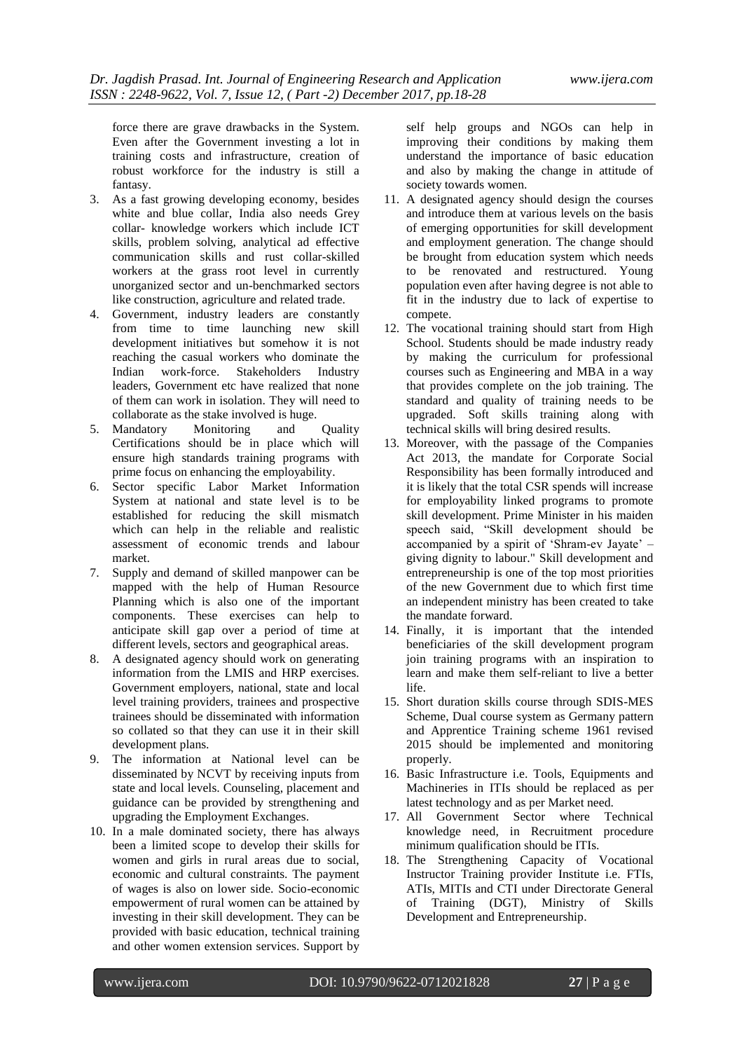force there are grave drawbacks in the System. Even after the Government investing a lot in training costs and infrastructure, creation of robust workforce for the industry is still a fantasy.

- 3. As a fast growing developing economy, besides white and blue collar, India also needs Grey collar- knowledge workers which include ICT skills, problem solving, analytical ad effective communication skills and rust collar-skilled workers at the grass root level in currently unorganized sector and un-benchmarked sectors like construction, agriculture and related trade.
- 4. Government, industry leaders are constantly from time to time launching new skill development initiatives but somehow it is not reaching the casual workers who dominate the Indian work-force. Stakeholders Industry leaders, Government etc have realized that none of them can work in isolation. They will need to collaborate as the stake involved is huge.
- 5. Mandatory Monitoring and Quality Certifications should be in place which will ensure high standards training programs with prime focus on enhancing the employability.
- 6. Sector specific Labor Market Information System at national and state level is to be established for reducing the skill mismatch which can help in the reliable and realistic assessment of economic trends and labour market.
- 7. Supply and demand of skilled manpower can be mapped with the help of Human Resource Planning which is also one of the important components. These exercises can help to anticipate skill gap over a period of time at different levels, sectors and geographical areas.
- 8. A designated agency should work on generating information from the LMIS and HRP exercises. Government employers, national, state and local level training providers, trainees and prospective trainees should be disseminated with information so collated so that they can use it in their skill development plans.
- 9. The information at National level can be disseminated by NCVT by receiving inputs from state and local levels. Counseling, placement and guidance can be provided by strengthening and upgrading the Employment Exchanges.
- 10. In a male dominated society, there has always been a limited scope to develop their skills for women and girls in rural areas due to social, economic and cultural constraints. The payment of wages is also on lower side. Socio-economic empowerment of rural women can be attained by investing in their skill development. They can be provided with basic education, technical training and other women extension services. Support by

self help groups and NGOs can help in improving their conditions by making them understand the importance of basic education and also by making the change in attitude of society towards women.

- 11. A designated agency should design the courses and introduce them at various levels on the basis of emerging opportunities for skill development and employment generation. The change should be brought from education system which needs to be renovated and restructured. Young population even after having degree is not able to fit in the industry due to lack of expertise to compete.
- 12. The vocational training should start from High School. Students should be made industry ready by making the curriculum for professional courses such as Engineering and MBA in a way that provides complete on the job training. The standard and quality of training needs to be upgraded. Soft skills training along with technical skills will bring desired results.
- 13. Moreover, with the passage of the Companies Act 2013, the mandate for Corporate Social Responsibility has been formally introduced and it is likely that the total CSR spends will increase for employability linked programs to promote skill development. Prime Minister in his maiden speech said, "Skill development should be accompanied by a spirit of "Shram-ev Jayate" – giving dignity to labour." Skill development and entrepreneurship is one of the top most priorities of the new Government due to which first time an independent ministry has been created to take the mandate forward.
- 14. Finally, it is important that the intended beneficiaries of the skill development program join training programs with an inspiration to learn and make them self-reliant to live a better life.
- 15. Short duration skills course through SDIS-MES Scheme, Dual course system as Germany pattern and Apprentice Training scheme 1961 revised 2015 should be implemented and monitoring properly.
- 16. Basic Infrastructure i.e. Tools, Equipments and Machineries in ITIs should be replaced as per latest technology and as per Market need.
- 17. All Government Sector where Technical knowledge need, in Recruitment procedure minimum qualification should be ITIs.
- 18. The Strengthening Capacity of Vocational Instructor Training provider Institute i.e. FTIs, ATIs, MITIs and CTI under Directorate General of Training (DGT), Ministry of Skills Development and Entrepreneurship.